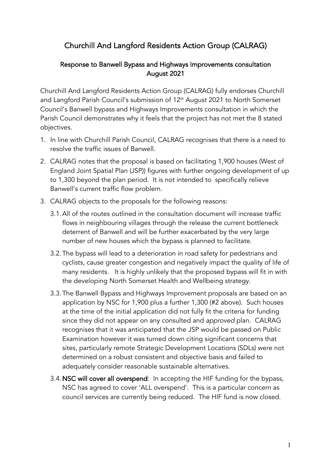# Churchill And Langford Residents Action Group (CALRAG)

#### Response to Banwell Bypass and Highways Improvements consultation August 2021

Churchill And Langford Residents Action Group (CALRAG) fully endorses Churchill and Langford Parish Council's submission of 12<sup>th</sup> August 2021 to North Somerset Council's Banwell bypass and Highways Improvements consultation in which the Parish Council demonstrates why it feels that the project has not met the 8 stated objectives.

- 1. In line with Churchill Parish Council, CALRAG recognises that there is a need to resolve the traffic issues of Banwell.
- 2. CALRAG notes that the proposal is based on facilitating 1,900 houses (West of England Joint Spatial Plan (JSP)) figures with further ongoing development of up to 1,300 beyond the plan period. It is not intended to specifically relieve Banwell's current traffic flow problem.
- 3. CALRAG objects to the proposals for the following reasons:
	- 3.1.All of the routes outlined in the consultation document will increase traffic flows in neighbouring villages through the release the current bottleneck deterrent of Banwell and will be further exacerbated by the very large number of new houses which the bypass is planned to facilitate.
	- 3.2.The bypass will lead to a deterioration in road safety for pedestrians and cyclists, cause greater congestion and negatively impact the quality of life of many residents. It is highly unlikely that the proposed bypass will fit in with the developing North Somerset Health and Wellbeing strategy.
	- 3.3.The Banwell Bypass and Highways Improvement proposals are based on an application by NSC for 1,900 plus a further 1,300 (#2 above). Such houses at the time of the initial application did not fully fit the criteria for funding since they did not appear on any consulted and *approved* plan. CALRAG recognises that it was anticipated that the JSP would be passed on Public Examination however it was turned down citing significant concerns that sites, particularly remote Strategic Development Locations (SDLs) were not determined on a robust consistent and objective basis and failed to adequately consider reasonable sustainable alternatives.
	- 3.4. NSC will cover all overspend: In accepting the HIF funding for the bypass, NSC has agreed to cover 'ALL overspend'. This is a particular concern as council services are currently being reduced. The HIF fund is now closed.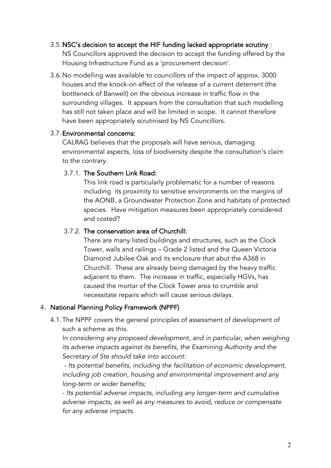#### 3.5.NSC's decision to accept the HIF funding lacked appropriate scrutiny : NS Councillors approved the decision to accept the funding offered by the Housing Infrastructure Fund as a 'procurement decision'.

3.6.No modelling was available to councillors of the impact of approx. 3000 houses and the knock-on effect of the release of a current deterrent (the bottleneck of Banwell) on the obvious increase in traffic flow in the surrounding villages. It appears from the consultation that such modelling has still not taken place and will be limited in scope. It cannot therefore have been appropriately scrutinised by NS Councillors.

## 3.7.Environmental concerns:

CALRAG believes that the proposals will have serious, damaging environmental aspects, loss of biodiversity despite the consultation's claim to the contrary.

## 3.7.1. The Southern Link Road:

This link road is particularly problematic for a number of reasons including its proximity to sensitive environments on the margins of the AONB, a Groundwater Protection Zone and habitats of protected species. Have mitigation measures been appropriately considered and costed?

## 3.7.2. The conservation area of Churchill:

There are many listed buildings and structures, such as the Clock Tower, walls and railings – Grade 2 listed and the Queen Victoria Diamond Jubilee Oak and its enclosure that abut the A368 in Churchill. These are already being damaged by the heavy traffic adjacent to them. The increase in traffic, especially HGVs, has caused the mortar of the Clock Tower area to crumble and necessitate repairs which will cause serious delays.

#### 4. National Planning Policy Framework (NPPF)

4.1.The NPPF covers the general principles of assessment of development of such a scheme as this.

In considering any proposed development, and in particular, when weighing *its adverse impacts against its benefits, the Examining Authority and the Secretary of Ste should take into account:*

*- Its potential benefits, including the facilitation of economic development, including job creation, housing and environmental improvement and any long-term or wider benefits;*

*- Its potential adverse impacts, including any longer-term and cumulative adverse impacts, as well as any measures to avoid, reduce or compensate for any adverse impacts.*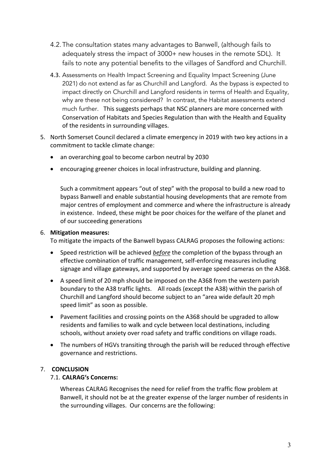- 4.2.The consultation states many advantages to Banwell, (although fails to adequately stress the impact of 3000+ new houses in the remote SDL). It fails to note any potential benefits to the villages of Sandford and Churchill.
- 4.3. Assessments on Health Impact Screening and Equality Impact Screening (June 2021) do not extend as far as Churchill and Langford. As the bypass is expected to impact directly on Churchill and Langford residents in terms of Health and Equality, why are these not being considered? In contrast, the Habitat assessments extend much further. This suggests perhaps that NSC planners are more concerned with Conservation of Habitats and Species Regulation than with the Health and Equality of the residents in surrounding villages.
- 5. North Somerset Council declared a climate emergency in 2019 with two key actions in a commitment to tackle climate change:
	- an overarching goal to become carbon neutral by 2030
	- encouraging greener choices in local infrastructure, building and planning.

Such a commitment appears "out of step" with the proposal to build a new road to bypass Banwell and enable substantial housing developments that are remote from major centres of employment and commerce and where the infrastructure is already in existence. Indeed, these might be poor choices for the welfare of the planet and of our succeeding generations

#### 6. **Mitigation measures:**

To mitigate the impacts of the Banwell bypass CALRAG proposes the following actions:

- Speed restriction will be achieved *before* the completion of the bypass through an effective combination of traffic management, self-enforcing measures including signage and village gateways, and supported by average speed cameras on the A368.
- A speed limit of 20 mph should be imposed on the A368 from the western parish boundary to the A38 traffic lights. All roads (except the A38) within the parish of Churchill and Langford should become subject to an "area wide default 20 mph speed limit" as soon as possible.
- Pavement facilities and crossing points on the A368 should be upgraded to allow residents and families to walk and cycle between local destinations, including schools, without anxiety over road safety and traffic conditions on village roads.
- The numbers of HGVs transiting through the parish will be reduced through effective governance and restrictions.

#### 7. **CONCLUSION**

#### 7.1. **CALRAG's Concerns:**

Whereas CALRAG Recognises the need for relief from the traffic flow problem at Banwell, it should not be at the greater expense of the larger number of residents in the surrounding villages. Our concerns are the following: